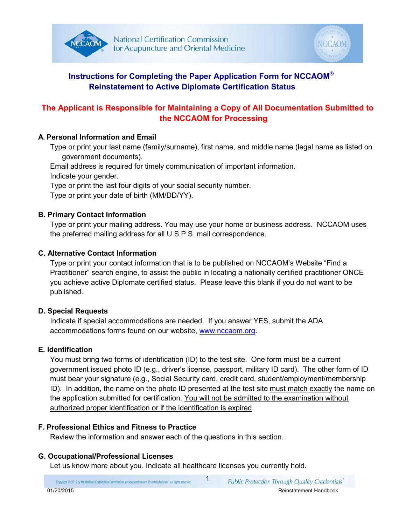



# **Instructions for Completing the Paper Application Form for NCCAOM® Reinstatement to Active Diplomate Certification Status**

# **The Applicant is Responsible for Maintaining a Copy of All Documentation Submitted to the NCCAOM for Processing**

## **A. Personal Information and Email**

Type or print your last name (family/surname), first name, and middle name (legal name as listed on government documents).

Email address is required for timely communication of important information.

Indicate your gender.

Type or print the last four digits of your social security number.

Type or print your date of birth (MM/DD/YY).

## **B. Primary Contact Information**

Type or print your mailing address. You may use your home or business address. NCCAOM uses the preferred mailing address for all U.S.P.S. mail correspondence.

## **C. Alternative Contact Information**

Type or print your contact information that is to be published on NCCAOM's Website "Find a Practitioner" search engine, to assist the public in locating a nationally certified practitioner ONCE you achieve active Diplomate certified status. Please leave this blank if you do not want to be published.

# **D. Special Requests**

Indicate if special accommodations are needed. If you answer YES, submit the ADA accommodations forms found on our website, [www.nccaom.org.](http://www.nccaom.org/forms-and-applicationswww.nccaom.org)

# **E. Identification**

You must bring two forms of identification (ID) to the test site. One form must be a current government issued photo ID (e.g., driver's license, passport, military ID card). The other form of ID must bear your signature (e.g., Social Security card, credit card, student/employment/membership ID). In addition, the name on the photo ID presented at the test site must match exactly the name on the application submitted for certification. You will not be admitted to the examination without authorized proper identification or if the identification is expired.

### **F. Professional Ethics and Fitness to Practice**

Review the information and answer each of the questions in this section.

# **G. Occupational/Professional Licenses**

Let us know more about you. Indicate all healthcare licenses you currently hold.

Copyright @ 2015 by the National Certification Commission for Acupuncture and Oriental Medicine. All rights reserved.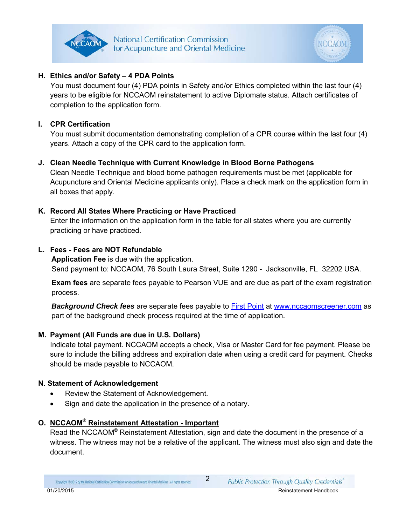

### **H. Ethics and/or Safety – 4 PDA Points**

 You must document four (4) PDA points in Safety and/or Ethics completed within the last four (4) years to be eligible for NCCAOM reinstatement to active Diplomate status. Attach certificates of completion to the application form.

### **I. CPR Certification**

You must submit documentation demonstrating completion of a CPR course within the last four (4) years. Attach a copy of the CPR card to the application form.

### **J. Clean Needle Technique with Current Knowledge in Blood Borne Pathogens**

Clean Needle Technique and blood borne pathogen requirements must be met (applicable for Acupuncture and Oriental Medicine applicants only). Place a check mark on the application form in all boxes that apply.

### **K. Record All States Where Practicing or Have Practiced**

Enter the information on the application form in the table for all states where you are currently practicing or have practiced.

### **L. Fees - Fees are NOT Refundable**

**Application Fee** is due with the application. Send payment to: NCCAOM, 76 South Laura Street, Suite 1290 - Jacksonville, FL 32202 USA.

**Exam fees** are separate fees payable to Pearson VUE and are due as part of the exam registration process.

*Background Check fees* are separate fees payable to [First Point](http://www.nccaomscreener.com/) at [www.nccaomscreener.com](http://www.nccaomscreener.com/) as part of the background check process required at the time of application.

### **M. Payment (All Funds are due in U.S. Dollars)**

Indicate total payment. NCCAOM accepts a check, Visa or Master Card for fee payment. Please be sure to include the billing address and expiration date when using a credit card for payment. Checks should be made payable to NCCAOM.

### **N. Statement of Acknowledgement**

- Review the Statement of Acknowledgement.
- Sign and date the application in the presence of a notary.

### **O. NCCAOM® Reinstatement Attestation - Important**

Read the NCCAOM**®** Reinstatement Attestation, sign and date the document in the presence of a witness. The witness may not be a relative of the applicant. The witness must also sign and date the document.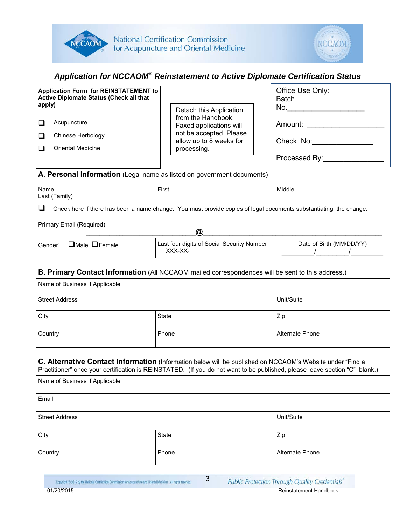



# *Application for NCCAOM® Reinstatement to Active Diplomate Certification Status*

| <b>Application Form for REINSTATEMENT to</b><br>Active Diplomate Status (Check all that<br>apply) | Detach this Application                            | Office Use Only:<br><b>Batch</b><br>No. |
|---------------------------------------------------------------------------------------------------|----------------------------------------------------|-----------------------------------------|
| Acupuncture                                                                                       | from the Handbook.<br>Faxed applications will      | Amount:                                 |
| Chinese Herbology                                                                                 | not be accepted. Please<br>allow up to 8 weeks for | Check No:                               |
| Oriental Medicine                                                                                 | processing.                                        |                                         |
|                                                                                                   |                                                    |                                         |
|                                                                                                   |                                                    | Processed By:                           |

#### **A. Personal Information** (Legal name as listed on government documents)

| Name<br>Last (Family)                                                                                             | First                                                 | Middle                   |  |
|-------------------------------------------------------------------------------------------------------------------|-------------------------------------------------------|--------------------------|--|
| Check here if there has been a name change. You must provide copies of legal documents substantiating the change. |                                                       |                          |  |
| Primary Email (Required)<br>@                                                                                     |                                                       |                          |  |
| $\Box$ Male $\Box$ Female<br>Gender:                                                                              | Last four digits of Social Security Number<br>XXX-XX- | Date of Birth (MM/DD/YY) |  |

### **B. Primary Contact Information** (All NCCAOM mailed correspondences will be sent to this address.)

| Name of Business if Applicable      |            |     |  |
|-------------------------------------|------------|-----|--|
| Street Address                      | Unit/Suite |     |  |
| City                                | State      | Zip |  |
| Country<br>Alternate Phone<br>Phone |            |     |  |

#### **C. Alternative Contact Information** (Information below will be published on NCCAOM's Website under "Find a Practitioner" once your certification is REINSTATED. (If you do not want to be published, please leave section "C" blank.)

| <u>_</u>                       | $\sim$ $\sim$ | $\sim$ $\sim$<br>$\mathbf{z}$ |
|--------------------------------|---------------|-------------------------------|
| Name of Business if Applicable |               |                               |
| Email                          |               |                               |
| <b>Street Address</b>          |               | Unit/Suite                    |
| City                           | State         | Zip                           |
| Country                        | Phone         | Alternate Phone               |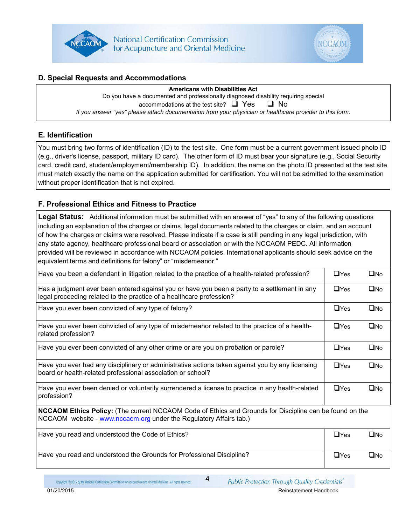



### **D. Special Requests and Accommodations**

**Americans with Disabilities Act**

Do you have a documented and professionally diagnosed disability requiring special accommodations at the test site?  $\Box$  Yes  $\Box$  No *If you answer "yes" please attach documentation from your physician or healthcare provider to this form.*

### **E. Identification**

You must bring two forms of identification (ID) to the test site. One form must be a current government issued photo ID (e.g., driver's license, passport, military ID card). The other form of ID must bear your signature (e.g., Social Security card, credit card, student/employment/membership ID). In addition, the name on the photo ID presented at the test site must match exactly the name on the application submitted for certification. You will not be admitted to the examination without proper identification that is not expired.

### **F. Professional Ethics and Fitness to Practice**

**Legal Status:** Additional information must be submitted with an answer of "yes" to any of the following questions including an explanation of the charges or claims, legal documents related to the charges or claim, and an account of how the charges or claims were resolved. Please indicate if a case is still pending in any legal jurisdiction, with any state agency, healthcare professional board or association or with the NCCAOM PEDC. All information provided will be reviewed in accordance with NCCAOM policies. International applicants should seek advice on the equivalent terms and definitions for felony" or "misdemeanor."

| Have you been a defendant in litigation related to the practice of a health-related profession?                                                                                      | $\Box$ Yes | $\square$ No |
|--------------------------------------------------------------------------------------------------------------------------------------------------------------------------------------|------------|--------------|
| Has a judgment ever been entered against you or have you been a party to a settlement in any<br>legal proceeding related to the practice of a healthcare profession?                 | $\Box$ Yes | $\square$ No |
| Have you ever been convicted of any type of felony?                                                                                                                                  | $\Box$ Yes | $\square$ No |
| Have you ever been convicted of any type of misdemeanor related to the practice of a health-<br>related profession?                                                                  | $\Box$ Yes | $\square$ No |
| Have you ever been convicted of any other crime or are you on probation or parole?                                                                                                   | $\Box$ Yes | $\square$ No |
| Have you ever had any disciplinary or administrative actions taken against you by any licensing<br>board or health-related professional association or school?                       | $\Box$ Yes | $\square$ No |
| Have you ever been denied or voluntarily surrendered a license to practice in any health-related<br>profession?                                                                      | $\Box$ Yes | $\square$ No |
| <b>NCCAOM Ethics Policy:</b> (The current NCCAOM Code of Ethics and Grounds for Discipline can be found on the<br>NCCAOM website - www.nccaom.org under the Regulatory Affairs tab.) |            |              |
| Have you read and understood the Code of Ethics?                                                                                                                                     | $\Box$ Yes | $\square$ No |
| Have you read and understood the Grounds for Professional Discipline?                                                                                                                | $\Box$ Yes | $\square$ No |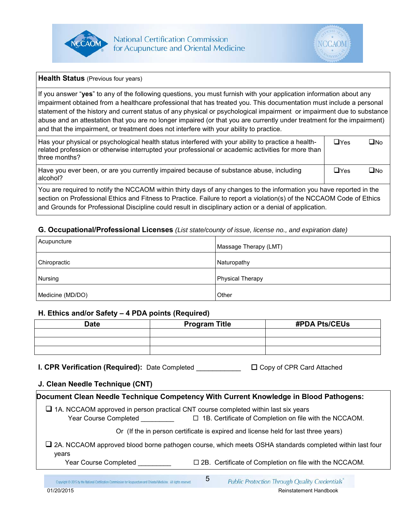



**Health Status** (Previous four years)

If you answer "**yes**" to any of the following questions, you must furnish with your application information about any impairment obtained from a healthcare professional that has treated you. This documentation must include a personal statement of the history and current status of any physical or psychological impairment or impairment due to substance abuse and an attestation that you are no longer impaired (or that you are currently under treatment for the impairment) and that the impairment, or treatment does not interfere with your ability to practice.

| Has your physical or psychological health status interfered with your ability to practice a health-<br>related profession or otherwise interrupted your professional or academic activities for more than<br>l three months? | $\Box$ Yes | ∩No |
|------------------------------------------------------------------------------------------------------------------------------------------------------------------------------------------------------------------------------|------------|-----|
| Have you ever been, or are you currently impaired because of substance abuse, including<br>alcohol?                                                                                                                          | $\Box$ Yes | ∩No |
| You are required to notify the NCCAOM within thirty days of any changes to the information you have reported in the                                                                                                          |            |     |

section on Professional Ethics and Fitness to Practice. Failure to report a violation(s) of the NCCAOM Code of Ethics and Grounds for Professional Discipline could result in disciplinary action or a denial of application.

### **G. Occupational/Professional Licenses** *(List state/county of issue, license no., and expiration date)*

| Acupuncture      | Massage Therapy (LMT)   |
|------------------|-------------------------|
| Chiropractic     | Naturopathy             |
| Nursing          | <b>Physical Therapy</b> |
| Medicine (MD/DO) | Other                   |

#### **H. Ethics and/or Safety – 4 PDA points (Required)**

| <b>Date</b> | <b>Program Title</b> | <b>#PDA Pts/CEUs</b> |
|-------------|----------------------|----------------------|
|             |                      |                      |
|             |                      |                      |
|             |                      |                      |
|             |                      |                      |
|             |                      |                      |
|             |                      |                      |
|             |                      |                      |
|             |                      |                      |
|             |                      |                      |

**I. CPR Verification (Required):** Date Completed  $\Box$  Copy of CPR Card Attached

### **J. Clean Needle Technique (CNT)**

| Document Clean Needle Technique Competency With Current Knowledge in Blood Pathogens:                                 |   |                                                                                                               |
|-----------------------------------------------------------------------------------------------------------------------|---|---------------------------------------------------------------------------------------------------------------|
| $\Box$ 1A. NCCAOM approved in person practical CNT course completed within last six years<br>Year Course Completed    |   | $\Box$ 1B. Certificate of Completion on file with the NCCAOM.                                                 |
|                                                                                                                       |   | Or (If the in person certificate is expired and license held for last three years)                            |
| vears                                                                                                                 |   | $\Box$ 2A. NCCAOM approved blood borne pathogen course, which meets OSHA standards completed within last four |
| Year Course Completed                                                                                                 |   | $\square$ 2B. Certificate of Completion on file with the NCCAOM.                                              |
| Copyright @ 2015 by the National Certification Commission for Acupuncture and Oriental Medicine. All rights reserved. | 5 | Public Protection Through Quality Credentials                                                                 |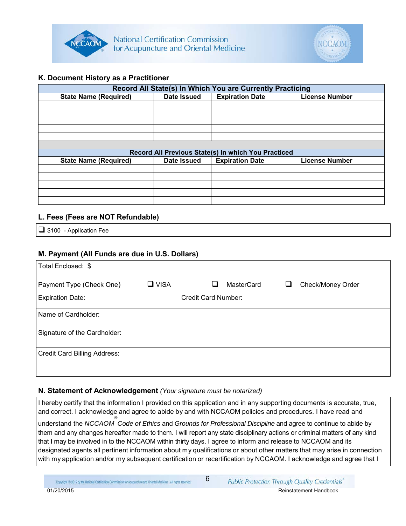



### **K. Document History as a Practitioner**

| Record All State(s) In Which You are Currently Practicing |                                                     |                        |                       |  |  |
|-----------------------------------------------------------|-----------------------------------------------------|------------------------|-----------------------|--|--|
| <b>State Name (Required)</b>                              | Date Issued                                         | <b>Expiration Date</b> | <b>License Number</b> |  |  |
|                                                           |                                                     |                        |                       |  |  |
|                                                           |                                                     |                        |                       |  |  |
|                                                           |                                                     |                        |                       |  |  |
|                                                           |                                                     |                        |                       |  |  |
|                                                           |                                                     |                        |                       |  |  |
|                                                           |                                                     |                        |                       |  |  |
|                                                           | Record All Previous State(s) In which You Practiced |                        |                       |  |  |
| <b>State Name (Required)</b>                              | Date Issued                                         | <b>Expiration Date</b> | <b>License Number</b> |  |  |
|                                                           |                                                     |                        |                       |  |  |
|                                                           |                                                     |                        |                       |  |  |
|                                                           |                                                     |                        |                       |  |  |
|                                                           |                                                     |                        |                       |  |  |
|                                                           |                                                     |                        |                       |  |  |

#### **L. Fees (Fees are NOT Refundable)**

 $\Box$  \$100 - Application Fee

### **M. Payment (All Funds are due in U.S. Dollars)**

| Total Enclosed: \$           |             |                     |            |                   |
|------------------------------|-------------|---------------------|------------|-------------------|
| Payment Type (Check One)     | $\Box$ VISA |                     | MasterCard | Check/Money Order |
| <b>Expiration Date:</b>      |             | Credit Card Number: |            |                   |
| Name of Cardholder:          |             |                     |            |                   |
| Signature of the Cardholder: |             |                     |            |                   |
| Credit Card Billing Address: |             |                     |            |                   |

### **N. Statement of Acknowledgement** *(Your signature must be notarized)*

I hereby certify that the information I provided on this application and in any supporting documents is accurate, true, and correct. I acknowledge and agree to abide by and with NCCAOM policies and procedures. I have read and understand the *NCCAOM ® Code of Ethics* and *Grounds for Professional Discipline* and agree to continue to abide by them and any changes hereafter made to them. I will report any state disciplinary actions or criminal matters of any kind that I may be involved in to the NCCAOM within thirty days. I agree to inform and release to NCCAOM and its designated agents all pertinent information about my qualifications or about other matters that may arise in connection with my application and/or my subsequent certification or recertification by NCCAOM. I acknowledge and agree that I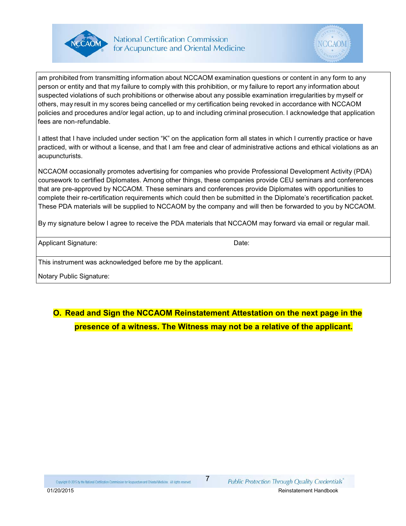



am prohibited from transmitting information about NCCAOM examination questions or content in any form to any person or entity and that my failure to comply with this prohibition, or my failure to report any information about suspected violations of such prohibitions or otherwise about any possible examination irregularities by myself or others, may result in my scores being cancelled or my certification being revoked in accordance with NCCAOM policies and procedures and/or legal action, up to and including criminal prosecution. I acknowledge that application fees are non-refundable.

I attest that I have included under section "K" on the application form all states in which I currently practice or have practiced, with or without a license, and that I am free and clear of administrative actions and ethical violations as an acupuncturists.

NCCAOM occasionally promotes advertising for companies who provide Professional Development Activity (PDA) coursework to certified Diplomates. Among other things, these companies provide CEU seminars and conferences that are pre-approved by NCCAOM. These seminars and conferences provide Diplomates with opportunities to complete their re-certification requirements which could then be submitted in the Diplomate's recertification packet. These PDA materials will be supplied to NCCAOM by the company and will then be forwarded to you by NCCAOM.

By my signature below I agree to receive the PDA materials that NCCAOM may forward via email or regular mail.

Applicant Signature: Date: Date: Date: Date:

This instrument was acknowledged before me by the applicant.

Notary Public Signature:

# **O. Read and Sign the NCCAOM Reinstatement Attestation on the next page in the presence of a witness. The Witness may not be a relative of the applicant.**

Copyright @ 2015 by the National Certification Commission for Acupuncture and Oriental Medicine. All rights reserved.